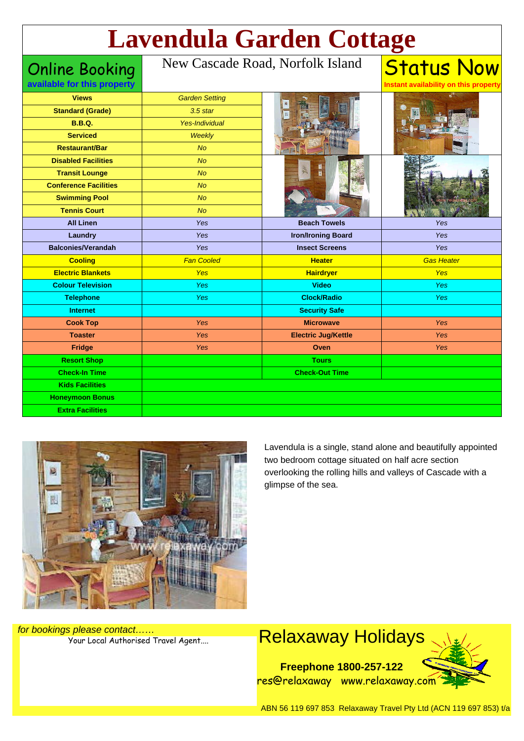# **Lavendula Garden Cottage**

Online Booking **available for this property**

#### New Cascade Road, Norfolk Island

| <b>Views</b>                 | <b>Garden Setting</b> |                            |                   |
|------------------------------|-----------------------|----------------------------|-------------------|
| <b>Standard (Grade)</b>      | $3.5$ star            |                            |                   |
| <b>B.B.Q.</b>                | <b>Yes-Individual</b> |                            |                   |
| <b>Serviced</b>              | Weekly                |                            |                   |
| <b>Restaurant/Bar</b>        | <b>No</b>             |                            |                   |
| <b>Disabled Facilities</b>   | <b>No</b>             | B                          |                   |
| <b>Transit Lounge</b>        | No                    | $\overline{\mathbf{u}}$    |                   |
| <b>Conference Facilities</b> | <b>No</b>             |                            |                   |
| <b>Swimming Pool</b>         | <b>No</b>             |                            |                   |
| <b>Tennis Court</b>          | No                    |                            |                   |
| <b>All Linen</b>             | Yes                   | <b>Beach Towels</b>        | Yes               |
| Laundry                      | Yes                   | <b>Iron/Ironing Board</b>  | Yes               |
| <b>Balconies/Verandah</b>    | Yes                   | <b>Insect Screens</b>      | Yes               |
| <b>Cooling</b>               | <b>Fan Cooled</b>     | <b>Heater</b>              | <b>Gas Heater</b> |
| <b>Electric Blankets</b>     | <b>Yes</b>            | <b>Hairdryer</b>           | <b>Yes</b>        |
| <b>Colour Television</b>     | Yes                   | <b>Video</b>               | Yes               |
| <b>Telephone</b>             | Yes                   | <b>Clock/Radio</b>         | <b>Yes</b>        |
| <b>Internet</b>              |                       | <b>Security Safe</b>       |                   |
| <b>Cook Top</b>              | Yes                   | <b>Microwave</b>           | <b>Yes</b>        |
| <b>Toaster</b>               | Yes                   | <b>Electric Jug/Kettle</b> | <b>Yes</b>        |
| <b>Fridge</b>                | Yes                   | Oven                       | <b>Yes</b>        |
| <b>Resort Shop</b>           |                       | <b>Tours</b>               |                   |
| <b>Check-In Time</b>         |                       | <b>Check-Out Time</b>      |                   |
| <b>Kids Facilities</b>       |                       |                            |                   |
|                              |                       |                            |                   |
| <b>Honeymoon Bonus</b>       |                       |                            |                   |



Lavendula is a single, stand alone and beautifully appointed two bedroom cottage situated on half acre section overlooking the rolling hills and valleys of Cascade with a glimpse of the sea.

Status Now

**Instant availability on this property**

for bookings please contact……